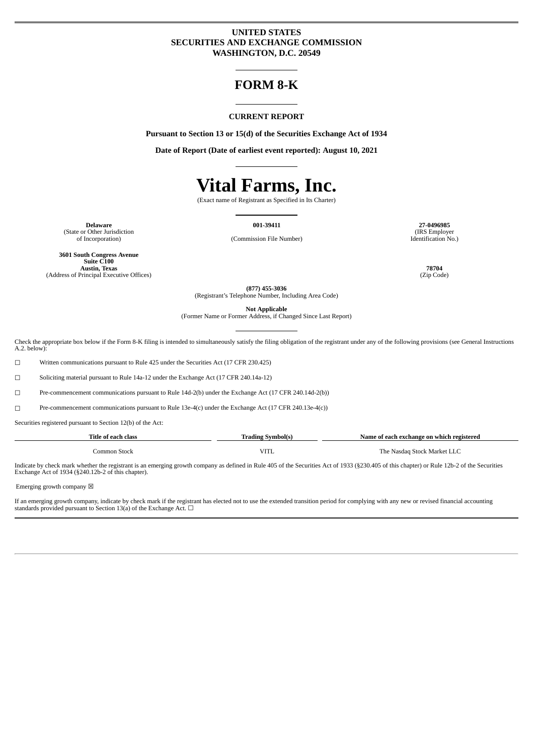# **UNITED STATES SECURITIES AND EXCHANGE COMMISSION WASHINGTON, D.C. 20549**

# **FORM 8-K**

#### **CURRENT REPORT**

**Pursuant to Section 13 or 15(d) of the Securities Exchange Act of 1934**

**Date of Report (Date of earliest event reported): August 10, 2021**

# **Vital Farms, Inc.**

(Exact name of Registrant as Specified in Its Charter)

**Delaware 001-39411 27-0496985** (State or Other Jurisdiction<br>of Incorporation)

(IRS Employer Identification No.)

**3601 South Congress Avenue Suite C100 Austin, Texas 78704** (Address of Principal Executive Offices)

(Commission File Number)

**(877) 455-3036** (Registrant's Telephone Number, Including Area Code)

**Not Applicable**

(Former Name or Former Address, if Changed Since Last Report)

Check the appropriate box below if the Form 8-K filing is intended to simultaneously satisfy the filing obligation of the registrant under any of the following provisions (see General Instructions A.2. below):

☐ Written communications pursuant to Rule 425 under the Securities Act (17 CFR 230.425)

☐ Soliciting material pursuant to Rule 14a-12 under the Exchange Act (17 CFR 240.14a-12)

☐ Pre-commencement communications pursuant to Rule 14d-2(b) under the Exchange Act (17 CFR 240.14d-2(b))

☐ Pre-commencement communications pursuant to Rule 13e-4(c) under the Exchange Act (17 CFR 240.13e-4(c))

Securities registered pursuant to Section 12(b) of the Act:

| Title of each class | Trading Symbol(s) | Name of each exchange on which registered |
|---------------------|-------------------|-------------------------------------------|
| Common Stock        | <b>VITL</b>       | The Nasdag Stock Market LLC               |

Indicate by check mark whether the registrant is an emerging growth company as defined in Rule 405 of the Securities Act of 1933 (§230.405 of this chapter) or Rule 12b-2 of the Securities Exchange Act of 1934 (§240.12b-2 of this chapter).

Emerging growth company  $\boxtimes$ 

If an emerging growth company, indicate by check mark if the registrant has elected not to use the extended transition period for complying with any new or revised financial accounting standards provided pursuant to Section 13(a) of the Exchange Act.  $\Box$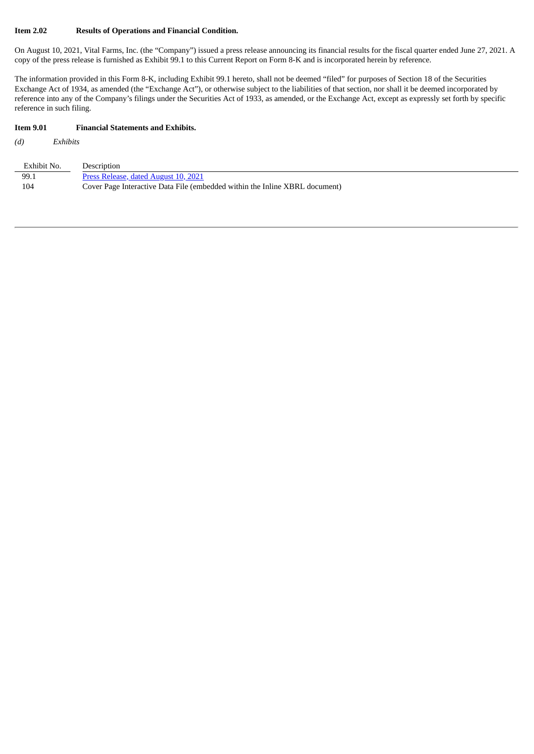#### **Item 2.02 Results of Operations and Financial Condition.**

On August 10, 2021, Vital Farms, Inc. (the "Company") issued a press release announcing its financial results for the fiscal quarter ended June 27, 2021. A copy of the press release is furnished as Exhibit 99.1 to this Current Report on Form 8-K and is incorporated herein by reference.

The information provided in this Form 8-K, including Exhibit 99.1 hereto, shall not be deemed "filed" for purposes of Section 18 of the Securities Exchange Act of 1934, as amended (the "Exchange Act"), or otherwise subject to the liabilities of that section, nor shall it be deemed incorporated by reference into any of the Company's filings under the Securities Act of 1933, as amended, or the Exchange Act, except as expressly set forth by specific reference in such filing.

#### **Item 9.01 Financial Statements and Exhibits.**

*(d) Exhibits*

| Exhibit No. | Description                                                                 |
|-------------|-----------------------------------------------------------------------------|
| 99.1        | Press Release, dated August 10, 2021                                        |
| 104         | Cover Page Interactive Data File (embedded within the Inline XBRL document) |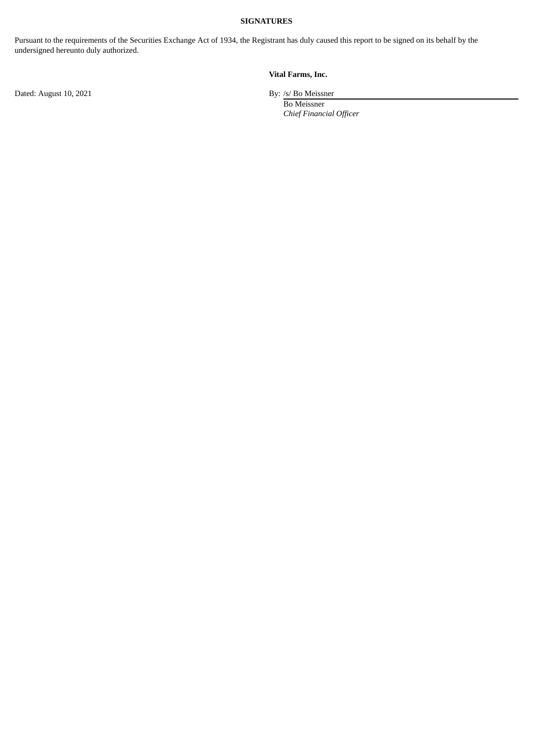## **SIGNATURES**

Pursuant to the requirements of the Securities Exchange Act of 1934, the Registrant has duly caused this report to be signed on its behalf by the undersigned hereunto duly authorized.

# **Vital Farms, Inc.**

Dated: August 10, 2021 By: /s/ Bo Meissner

Bo Meissner *Chief Financial Officer*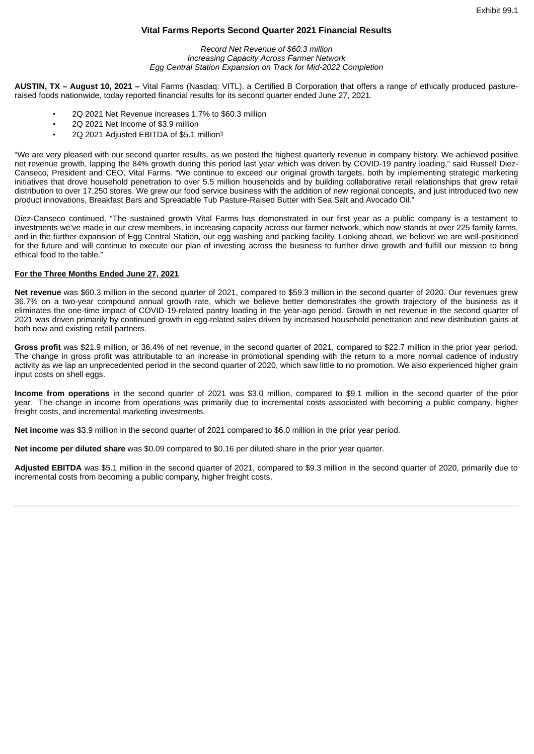## **Vital Farms Reports Second Quarter 2021 Financial Results**

*Record Net Revenue of \$60.3 million Increasing Capacity Across Farmer Network Egg Central Station Expansion on Track for Mid-2022 Completion*

<span id="page-3-0"></span>**AUSTIN, TX – August 10, 2021 –** Vital Farms (Nasdaq: VITL), a Certified B Corporation that offers a range of ethically produced pastureraised foods nationwide, today reported financial results for its second quarter ended June 27, 2021.

- 2Q 2021 Net Revenue increases 1.7% to \$60.3 million
- 2Q 2021 Net Income of \$3.9 million
- 2Q 2021 Adjusted EBITDA of \$5.1 million1

"We are very pleased with our second quarter results, as we posted the highest quarterly revenue in company history. We achieved positive net revenue growth, lapping the 84% growth during this period last year which was driven by COVID-19 pantry loading," said Russell Diez-Canseco, President and CEO, Vital Farms. "We continue to exceed our original growth targets, both by implementing strategic marketing initiatives that drove household penetration to over 5.5 million households and by building collaborative retail relationships that grew retail distribution to over 17,250 stores. We grew our food service business with the addition of new regional concepts, and just introduced two new product innovations, Breakfast Bars and Spreadable Tub Pasture-Raised Butter with Sea Salt and Avocado Oil."

Diez-Canseco continued, "The sustained growth Vital Farms has demonstrated in our first year as a public company is a testament to investments we've made in our crew members, in increasing capacity across our farmer network, which now stands at over 225 family farms, and in the further expansion of Egg Central Station, our egg washing and packing facility. Looking ahead, we believe we are well-positioned for the future and will continue to execute our plan of investing across the business to further drive growth and fulfill our mission to bring ethical food to the table."

#### **For the Three Months Ended June 27, 2021**

**Net revenue** was \$60.3 million in the second quarter of 2021, compared to \$59.3 million in the second quarter of 2020. Our revenues grew 36.7% on a two-year compound annual growth rate, which we believe better demonstrates the growth trajectory of the business as it eliminates the one-time impact of COVID-19-related pantry loading in the year-ago period. Growth in net revenue in the second quarter of 2021 was driven primarily by continued growth in egg-related sales driven by increased household penetration and new distribution gains at both new and existing retail partners.

**Gross profit** was \$21.9 million, or 36.4% of net revenue, in the second quarter of 2021, compared to \$22.7 million in the prior year period. The change in gross profit was attributable to an increase in promotional spending with the return to a more normal cadence of industry activity as we lap an unprecedented period in the second quarter of 2020, which saw little to no promotion. We also experienced higher grain input costs on shell eggs.

**Income from operations** in the second quarter of 2021 was \$3.0 million, compared to \$9.1 million in the second quarter of the prior year. The change in income from operations was primarily due to incremental costs associated with becoming a public company, higher freight costs, and incremental marketing investments.

**Net income** was \$3.9 million in the second quarter of 2021 compared to \$6.0 million in the prior year period.

**Net income per diluted share** was \$0.09 compared to \$0.16 per diluted share in the prior year quarter.

**Adjusted EBITDA** was \$5.1 million in the second quarter of 2021, compared to \$9.3 million in the second quarter of 2020, primarily due to incremental costs from becoming a public company, higher freight costs,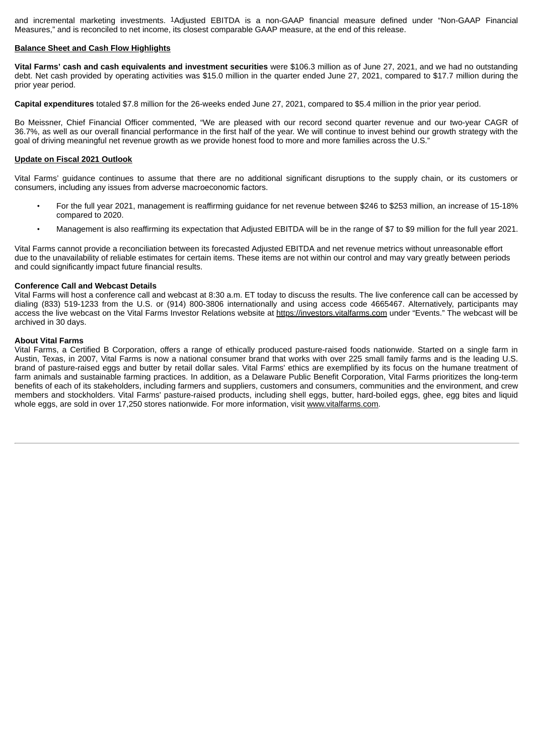and incremental marketing investments. 1Adjusted EBITDA is a non-GAAP financial measure defined under "Non-GAAP Financial Measures," and is reconciled to net income, its closest comparable GAAP measure, at the end of this release.

#### **Balance Sheet and Cash Flow Highlights**

**Vital Farms' cash and cash equivalents and investment securities** were \$106.3 million as of June 27, 2021, and we had no outstanding debt. Net cash provided by operating activities was \$15.0 million in the quarter ended June 27, 2021, compared to \$17.7 million during the prior year period.

**Capital expenditures** totaled \$7.8 million for the 26-weeks ended June 27, 2021, compared to \$5.4 million in the prior year period.

Bo Meissner, Chief Financial Officer commented, "We are pleased with our record second quarter revenue and our two-year CAGR of 36.7%, as well as our overall financial performance in the first half of the year. We will continue to invest behind our growth strategy with the goal of driving meaningful net revenue growth as we provide honest food to more and more families across the U.S."

#### **Update on Fiscal 2021 Outlook**

Vital Farms' guidance continues to assume that there are no additional significant disruptions to the supply chain, or its customers or consumers, including any issues from adverse macroeconomic factors.

- For the full year 2021, management is reaffirming guidance for net revenue between \$246 to \$253 million, an increase of 15-18% compared to 2020.
- Management is also reaffirming its expectation that Adjusted EBITDA will be in the range of \$7 to \$9 million for the full year 2021.

Vital Farms cannot provide a reconciliation between its forecasted Adjusted EBITDA and net revenue metrics without unreasonable effort due to the unavailability of reliable estimates for certain items. These items are not within our control and may vary greatly between periods and could significantly impact future financial results.

#### **Conference Call and Webcast Details**

Vital Farms will host a conference call and webcast at 8:30 a.m. ET today to discuss the results. The live conference call can be accessed by dialing (833) 519-1233 from the U.S. or (914) 800-3806 internationally and using access code 4665467. Alternatively, participants may access the live webcast on the Vital Farms Investor Relations website at https://investors.vitalfarms.com under "Events." The webcast will be archived in 30 days.

#### **About Vital Farms**

Vital Farms, a Certified B Corporation, offers a range of ethically produced pasture-raised foods nationwide. Started on a single farm in Austin, Texas, in 2007, Vital Farms is now a national consumer brand that works with over 225 small family farms and is the leading U.S. brand of pasture-raised eggs and butter by retail dollar sales. Vital Farms' ethics are exemplified by its focus on the humane treatment of farm animals and sustainable farming practices. In addition, as a Delaware Public Benefit Corporation, Vital Farms prioritizes the long-term benefits of each of its stakeholders, including farmers and suppliers, customers and consumers, communities and the environment, and crew members and stockholders. Vital Farms' pasture-raised products, including shell eggs, butter, hard-boiled eggs, ghee, egg bites and liquid whole eggs, are sold in over 17,250 stores nationwide. For more information, visit www.vitalfarms.com.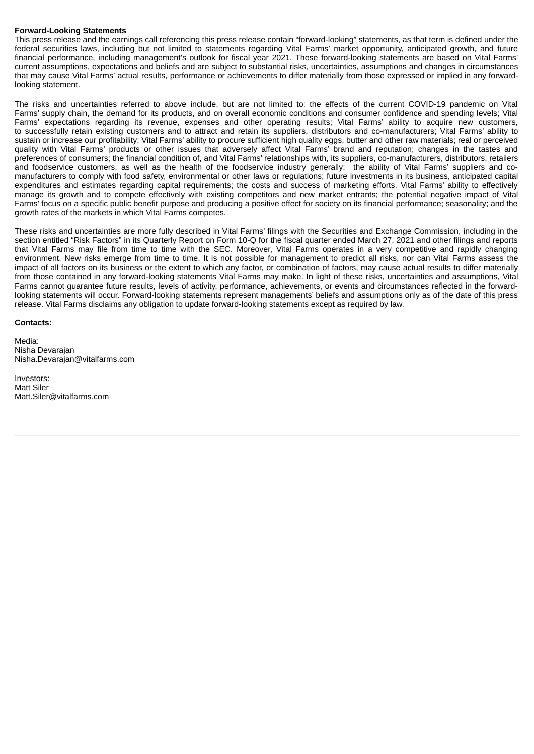#### **Forward-Looking Statements**

This press release and the earnings call referencing this press release contain "forward-looking" statements, as that term is defined under the federal securities laws, including but not limited to statements regarding Vital Farms' market opportunity, anticipated growth, and future financial performance, including management's outlook for fiscal year 2021. These forward-looking statements are based on Vital Farms' current assumptions, expectations and beliefs and are subject to substantial risks, uncertainties, assumptions and changes in circumstances that may cause Vital Farms' actual results, performance or achievements to differ materially from those expressed or implied in any forwardlooking statement.

The risks and uncertainties referred to above include, but are not limited to: the effects of the current COVID-19 pandemic on Vital Farms' supply chain, the demand for its products, and on overall economic conditions and consumer confidence and spending levels; Vital Farms' expectations regarding its revenue, expenses and other operating results; Vital Farms' ability to acquire new customers, to successfully retain existing customers and to attract and retain its suppliers, distributors and co-manufacturers; Vital Farms' ability to sustain or increase our profitability; Vital Farms' ability to procure sufficient high quality eggs, butter and other raw materials; real or perceived quality with Vital Farms' products or other issues that adversely affect Vital Farms' brand and reputation; changes in the tastes and preferences of consumers; the financial condition of, and Vital Farms' relationships with, its suppliers, co-manufacturers, distributors, retailers and foodservice customers, as well as the health of the foodservice industry generally; the ability of Vital Farms' suppliers and comanufacturers to comply with food safety, environmental or other laws or regulations; future investments in its business, anticipated capital expenditures and estimates regarding capital requirements; the costs and success of marketing efforts. Vital Farms' ability to effectively manage its growth and to compete effectively with existing competitors and new market entrants; the potential negative impact of Vital Farms' focus on a specific public benefit purpose and producing a positive effect for society on its financial performance; seasonality; and the growth rates of the markets in which Vital Farms competes.

These risks and uncertainties are more fully described in Vital Farms' filings with the Securities and Exchange Commission, including in the section entitled "Risk Factors" in its Quarterly Report on Form 10-Q for the fiscal quarter ended March 27, 2021 and other filings and reports that Vital Farms may file from time to time with the SEC. Moreover, Vital Farms operates in a very competitive and rapidly changing environment. New risks emerge from time to time. It is not possible for management to predict all risks, nor can Vital Farms assess the impact of all factors on its business or the extent to which any factor, or combination of factors, may cause actual results to differ materially from those contained in any forward-looking statements Vital Farms may make. In light of these risks, uncertainties and assumptions, Vital Farms cannot guarantee future results, levels of activity, performance, achievements, or events and circumstances reflected in the forwardlooking statements will occur. Forward-looking statements represent managements' beliefs and assumptions only as of the date of this press release. Vital Farms disclaims any obligation to update forward-looking statements except as required by law.

#### **Contacts:**

Media: Nisha Devarajan Nisha.Devarajan@vitalfarms.com

Investors: Matt Siler Matt.Siler@vitalfarms.com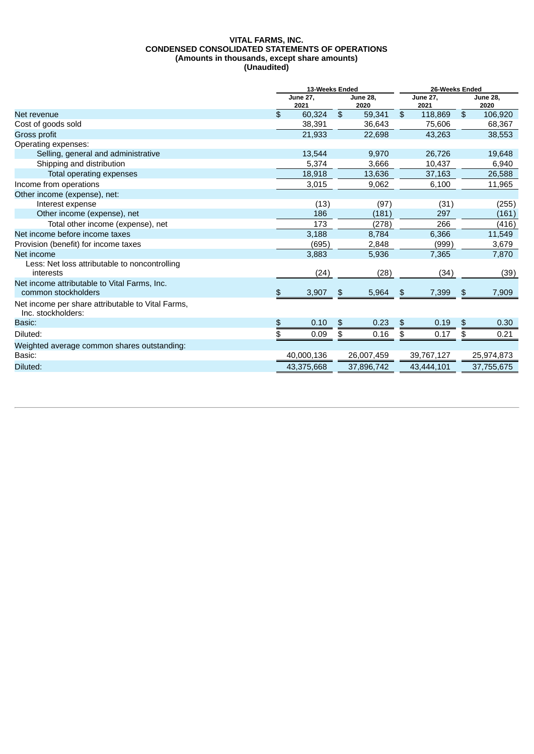#### **VITAL FARMS, INC. CONDENSED CONSOLIDATED STATEMENTS OF OPERATIONS (Amounts in thousands, except share amounts) (Unaudited)**

|                                                                         | 13-Weeks Ended |                         |    |                         | 26-Weeks Ended |                         |    |                         |  |
|-------------------------------------------------------------------------|----------------|-------------------------|----|-------------------------|----------------|-------------------------|----|-------------------------|--|
|                                                                         |                | <b>June 27,</b><br>2021 |    | <b>June 28,</b><br>2020 |                | <b>June 27,</b><br>2021 |    | <b>June 28,</b><br>2020 |  |
| Net revenue                                                             | \$             | 60,324                  |    | 59,341                  | \$             | 118,869                 | \$ | 106,920                 |  |
| Cost of goods sold                                                      |                | 38,391                  |    | 36,643                  |                | 75,606                  |    | 68,367                  |  |
| Gross profit                                                            |                | 21,933                  |    | 22,698                  |                | 43,263                  |    | 38,553                  |  |
| Operating expenses:                                                     |                |                         |    |                         |                |                         |    |                         |  |
| Selling, general and administrative                                     |                | 13,544                  |    | 9,970                   |                | 26,726                  |    | 19,648                  |  |
| Shipping and distribution                                               |                | 5,374                   |    | 3,666                   |                | 10,437                  |    | 6,940                   |  |
| Total operating expenses                                                |                | 18,918                  |    | 13,636                  |                | 37,163                  |    | 26,588                  |  |
| Income from operations                                                  |                | 3,015                   |    | 9,062                   |                | 6,100                   |    | 11,965                  |  |
| Other income (expense), net:                                            |                |                         |    |                         |                |                         |    |                         |  |
| Interest expense                                                        |                | (13)                    |    | (97)                    |                | (31)                    |    | (255)                   |  |
| Other income (expense), net                                             |                | 186                     |    | (181)                   |                | 297                     |    | (161)                   |  |
| Total other income (expense), net                                       |                | 173                     |    | (278)                   |                | 266                     |    | (416)                   |  |
| Net income before income taxes                                          |                | 3,188                   |    | 8,784                   |                | 6,366                   |    | 11,549                  |  |
| Provision (benefit) for income taxes                                    |                | (695)                   |    | 2,848                   |                | (999)                   |    | 3,679                   |  |
| Net income                                                              |                | 3,883                   |    | 5,936                   |                | 7,365                   |    | 7,870                   |  |
| Less: Net loss attributable to noncontrolling<br>interests              |                | (24)                    |    | (28)                    |                | (34)                    |    | (39)                    |  |
| Net income attributable to Vital Farms, Inc.<br>common stockholders     | \$             | 3,907                   | \$ | 5,964                   | \$             | 7,399                   | \$ | 7,909                   |  |
| Net income per share attributable to Vital Farms,<br>Inc. stockholders: |                |                         |    |                         |                |                         |    |                         |  |
| Basic:                                                                  | \$             | 0.10                    | \$ | 0.23                    | \$             | 0.19                    | \$ | 0.30                    |  |
| Diluted:                                                                | \$             | 0.09                    | \$ | 0.16                    | \$             | 0.17                    | \$ | 0.21                    |  |
| Weighted average common shares outstanding:                             |                |                         |    |                         |                |                         |    |                         |  |
| Basic:                                                                  |                | 40,000,136              |    | 26,007,459              |                | 39,767,127              |    | 25,974,873              |  |
| Diluted:                                                                |                | 43,375,668              |    | 37,896,742              |                | 43,444,101              |    | 37,755,675              |  |
|                                                                         |                |                         |    |                         |                |                         |    |                         |  |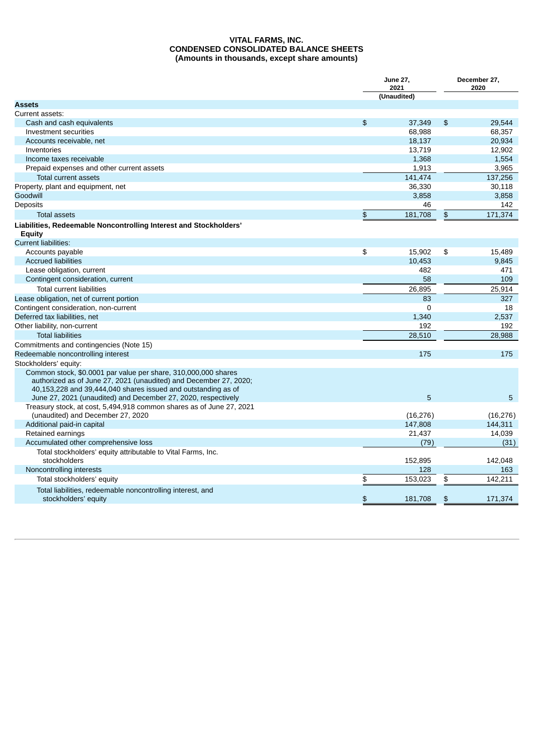#### **VITAL FARMS, INC. CONDENSED CONSOLIDATED BALANCE SHEETS (Amounts in thousands, except share amounts)**

|                                                                                                                                                                                                      |                | <b>June 27,</b><br>2021 | December 27,<br>2020 |           |  |
|------------------------------------------------------------------------------------------------------------------------------------------------------------------------------------------------------|----------------|-------------------------|----------------------|-----------|--|
|                                                                                                                                                                                                      |                | (Unaudited)             |                      |           |  |
| <b>Assets</b>                                                                                                                                                                                        |                |                         |                      |           |  |
| Current assets:                                                                                                                                                                                      |                |                         |                      |           |  |
| Cash and cash equivalents                                                                                                                                                                            | $\mathfrak{P}$ | 37,349                  | \$                   | 29,544    |  |
| Investment securities                                                                                                                                                                                |                | 68,988                  |                      | 68,357    |  |
| Accounts receivable, net                                                                                                                                                                             |                | 18,137                  |                      | 20,934    |  |
| Inventories                                                                                                                                                                                          |                | 13,719                  |                      | 12,902    |  |
| Income taxes receivable                                                                                                                                                                              |                | 1,368                   |                      | 1,554     |  |
| Prepaid expenses and other current assets                                                                                                                                                            |                | 1,913                   |                      | 3,965     |  |
| Total current assets                                                                                                                                                                                 |                | 141,474                 |                      | 137,256   |  |
| Property, plant and equipment, net                                                                                                                                                                   |                | 36,330                  |                      | 30,118    |  |
| Goodwill                                                                                                                                                                                             |                | 3,858                   |                      | 3,858     |  |
| Deposits                                                                                                                                                                                             |                | 46                      |                      | 142       |  |
| <b>Total assets</b>                                                                                                                                                                                  | \$             | 181,708                 | \$                   | 171,374   |  |
| Liabilities, Redeemable Noncontrolling Interest and Stockholders'<br>Equity                                                                                                                          |                |                         |                      |           |  |
| <b>Current liabilities:</b>                                                                                                                                                                          |                |                         |                      |           |  |
| Accounts payable                                                                                                                                                                                     | \$             | 15,902                  | \$                   | 15,489    |  |
| <b>Accrued liabilities</b>                                                                                                                                                                           |                | 10,453                  |                      | 9,845     |  |
| Lease obligation, current                                                                                                                                                                            |                | 482                     |                      | 471       |  |
| Contingent consideration, current                                                                                                                                                                    |                | 58                      |                      | 109       |  |
| <b>Total current liabilities</b>                                                                                                                                                                     |                | 26,895                  |                      | 25,914    |  |
| Lease obligation, net of current portion                                                                                                                                                             |                | 83                      |                      | 327       |  |
| Contingent consideration, non-current                                                                                                                                                                |                | 0                       |                      | 18        |  |
| Deferred tax liabilities, net                                                                                                                                                                        |                | 1,340                   |                      | 2,537     |  |
| Other liability, non-current                                                                                                                                                                         |                | 192                     |                      | 192       |  |
| <b>Total liabilities</b>                                                                                                                                                                             |                | 28.510                  |                      | 28.988    |  |
| Commitments and contingencies (Note 15)                                                                                                                                                              |                |                         |                      |           |  |
| Redeemable noncontrolling interest                                                                                                                                                                   |                | 175                     |                      | 175       |  |
| Stockholders' equity:                                                                                                                                                                                |                |                         |                      |           |  |
| Common stock, \$0.0001 par value per share, 310,000,000 shares<br>authorized as of June 27, 2021 (unaudited) and December 27, 2020;<br>40,153,228 and 39,444,040 shares issued and outstanding as of |                |                         |                      |           |  |
| June 27, 2021 (unaudited) and December 27, 2020, respectively                                                                                                                                        |                | 5                       |                      | 5         |  |
| Treasury stock, at cost, 5,494,918 common shares as of June 27, 2021<br>(unaudited) and December 27, 2020                                                                                            |                | (16, 276)               |                      | (16, 276) |  |
| Additional paid-in capital                                                                                                                                                                           |                | 147,808                 |                      | 144,311   |  |
| Retained earnings                                                                                                                                                                                    |                | 21,437                  |                      | 14,039    |  |
| Accumulated other comprehensive loss                                                                                                                                                                 |                | (79)                    |                      | (31)      |  |
| Total stockholders' equity attributable to Vital Farms, Inc.<br>stockholders                                                                                                                         |                | 152,895                 |                      | 142,048   |  |
| Noncontrolling interests                                                                                                                                                                             |                | 128                     |                      | 163       |  |
| Total stockholders' equity                                                                                                                                                                           | \$             | 153,023                 | \$                   | 142.211   |  |
| Total liabilities, redeemable noncontrolling interest, and<br>stockholders' equity                                                                                                                   | \$             | 181.708                 | \$                   | 171,374   |  |
|                                                                                                                                                                                                      |                |                         |                      |           |  |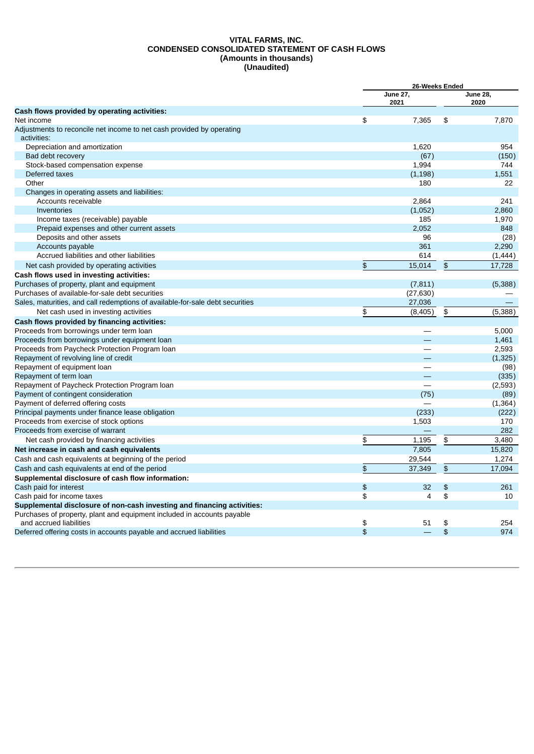#### **VITAL FARMS, INC. CONDENSED CONSOLIDATED STATEMENT OF CASH FLOWS (Amounts in thousands) (Unaudited)**

|                                                                                      |                | 26-Weeks Ended           |    |                         |  |
|--------------------------------------------------------------------------------------|----------------|--------------------------|----|-------------------------|--|
|                                                                                      |                | <b>June 27,</b><br>2021  |    | <b>June 28,</b><br>2020 |  |
| Cash flows provided by operating activities:                                         |                |                          |    |                         |  |
| Net income                                                                           | \$             | 7,365                    | \$ | 7,870                   |  |
| Adjustments to reconcile net income to net cash provided by operating<br>activities: |                |                          |    |                         |  |
| Depreciation and amortization                                                        |                | 1,620                    |    | 954                     |  |
| Bad debt recovery                                                                    |                | (67)                     |    | (150)                   |  |
| Stock-based compensation expense                                                     |                | 1.994                    |    | 744                     |  |
| Deferred taxes                                                                       |                | (1, 198)                 |    | 1,551                   |  |
| Other                                                                                |                | 180                      |    | 22                      |  |
| Changes in operating assets and liabilities:                                         |                |                          |    |                         |  |
| Accounts receivable                                                                  |                | 2.864                    |    | 241                     |  |
| Inventories                                                                          |                | (1,052)                  |    | 2,860                   |  |
| Income taxes (receivable) payable                                                    |                | 185                      |    | 1,970                   |  |
| Prepaid expenses and other current assets                                            |                | 2,052                    |    | 848                     |  |
| Deposits and other assets                                                            |                | 96                       |    | (28)                    |  |
| Accounts payable                                                                     |                | 361                      |    | 2,290                   |  |
| Accrued liabilities and other liabilities                                            |                | 614                      |    | (1, 444)                |  |
| Net cash provided by operating activities                                            | \$             | 15,014                   | \$ | 17,728                  |  |
| Cash flows used in investing activities:                                             |                |                          |    |                         |  |
| Purchases of property, plant and equipment                                           |                | (7, 811)                 |    | (5,388)                 |  |
| Purchases of available-for-sale debt securities                                      |                | (27, 630)                |    |                         |  |
| Sales, maturities, and call redemptions of available-for-sale debt securities        |                | 27,036                   |    |                         |  |
| Net cash used in investing activities                                                | \$             | (8, 405)                 | \$ | (5,388)                 |  |
| Cash flows provided by financing activities:                                         |                |                          |    |                         |  |
| Proceeds from borrowings under term loan                                             |                | $\overline{\phantom{0}}$ |    | 5,000                   |  |
| Proceeds from borrowings under equipment loan                                        |                |                          |    | 1,461                   |  |
| Proceeds from Paycheck Protection Program Ioan                                       |                | $\overline{\phantom{0}}$ |    | 2,593                   |  |
| Repayment of revolving line of credit                                                |                |                          |    | (1, 325)                |  |
| Repayment of equipment loan                                                          |                | $\overline{\phantom{0}}$ |    | (98)                    |  |
| Repayment of term loan                                                               |                |                          |    | (335)                   |  |
| Repayment of Paycheck Protection Program loan                                        |                |                          |    | (2,593)                 |  |
| Payment of contingent consideration                                                  |                | (75)                     |    | (89)                    |  |
| Payment of deferred offering costs                                                   |                |                          |    | (1, 364)                |  |
| Principal payments under finance lease obligation                                    |                | (233)                    |    | (222)                   |  |
| Proceeds from exercise of stock options                                              |                | 1,503                    |    | 170                     |  |
| Proceeds from exercise of warrant                                                    |                |                          |    | 282                     |  |
| Net cash provided by financing activities                                            | \$             | 1,195                    | \$ | 3,480                   |  |
| Net increase in cash and cash equivalents                                            |                | 7.805                    |    | 15,820                  |  |
| Cash and cash equivalents at beginning of the period                                 |                | 29,544                   |    | 1,274                   |  |
| Cash and cash equivalents at end of the period                                       | $\mathfrak{P}$ | 37,349                   | \$ | 17,094                  |  |
| Supplemental disclosure of cash flow information:                                    |                |                          |    |                         |  |
| Cash paid for interest                                                               | \$             | 32                       | \$ | 261                     |  |
| Cash paid for income taxes                                                           | \$             | 4                        | \$ | 10                      |  |
| Supplemental disclosure of non-cash investing and financing activities:              |                |                          |    |                         |  |
| Purchases of property, plant and equipment included in accounts payable              |                |                          |    |                         |  |
| and accrued liabilities                                                              | \$             | 51                       | \$ | 254                     |  |
| Deferred offering costs in accounts payable and accrued liabilities                  | \$             |                          | \$ | 974                     |  |
|                                                                                      |                |                          |    |                         |  |